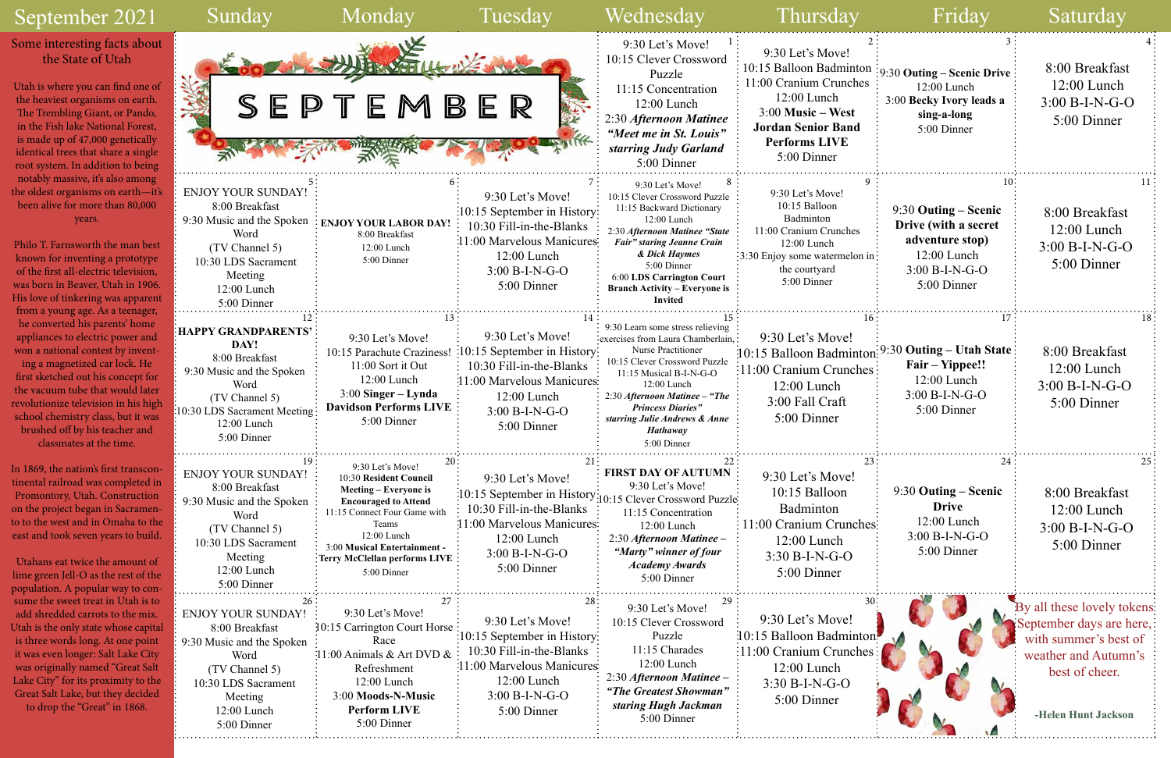### September 2021



|                               | Friday                                                                                                                  | Saturday                                                                                                                                          |
|-------------------------------|-------------------------------------------------------------------------------------------------------------------------|---------------------------------------------------------------------------------------------------------------------------------------------------|
| 2<br>on<br>es                 | 3<br>9:30 Outing – Scenic Drive<br>12:00 Lunch<br>3:00 Becky Ivory leads a<br>sing-a-long<br>5:00 Dinner                | 4<br>8:00 Breakfast<br>$12:00$ Lunch<br>$3:00 B-I-N-G-O$<br>5:00 Dinner                                                                           |
| 9<br>n in                     | 10<br>9:30 Outing – Scenic<br>Drive (with a secret<br>adventure stop)<br>12:00 Lunch<br>$3:00 B-I-N-G-O$<br>5:00 Dinner | 11<br>8:00 Breakfast<br>$12:00$ Lunch<br>3:00 B-I-N-G-O<br>5:00 Dinner                                                                            |
| 16<br>ton<br>ies              | 17<br>9:30 Outing – Utah State<br>Fair – Yippee!!<br>12:00 Lunch<br>3:00 B-I-N-G-O<br>5:00 Dinner                       | 18<br>8:00 Breakfast<br>12:00 Lunch<br>$3:00 B-I-N-G-O$<br>5:00 Dinner                                                                            |
| 23<br>hes                     | 24<br>9:30 Outing – Scenic<br><b>Drive</b><br>$12:00$ Lunch<br>$3:00 B-I-N-G-O$<br>5:00 Dinner                          | 25<br>8:00 Breakfast<br>$12:00$ Lunch<br>$3:00 B-I-N-G-O$<br>5:00 Dinner                                                                          |
| 30 <sup>°</sup><br>ton<br>ies |                                                                                                                         | By all these lovely tokens:<br>September days are here,<br>with summer's best of<br>weather and Autumn's<br>best of cheer.<br>-Helen Hunt Jackson |

#### Some interesting facts about the State of Utah

Utah is where you can find one of the heaviest organisms on earth. The Trembling Giant, or Pando, in the Fish lake National Forest, is made up of 47,000 genetically identical trees that share a single root system. In addition to being notably massive, it's also among the oldest organisms on earth—it's been alive for more than 80,000 years.

Philo T. Farnsworth the man best known for inventing a prototype of the first all-electric television, was born in Beaver, Utah in 1906. His love of tinkering was apparent from a young age. As a teenager, he converted his parents' home appliances to electric power and won a national contest by invent-

ing a magnetized car lock. He first sketched out his concept for the vacuum tube that would later revolutionize television in his high school chemistry class, but it was brushed off by his teacher and classmates at the time.

In 1869, the nation's first transcontinental railroad was completed in Promontory, Utah. Construction on the project began in Sacramento to the west and in Omaha to the east and took seven years to build.

Utahans eat twice the amount of lime green Jell-O as the rest of the population. A popular way to consume the sweet treat in Utah is to add shredded carrots to the mix. Utah is the only state whose capital is three words long. At one point it was even longer: Salt Lake City was originally named "Great Salt Lake City" for its proximity to the Great Salt Lake, but they decided to drop the "Great" in 1868.